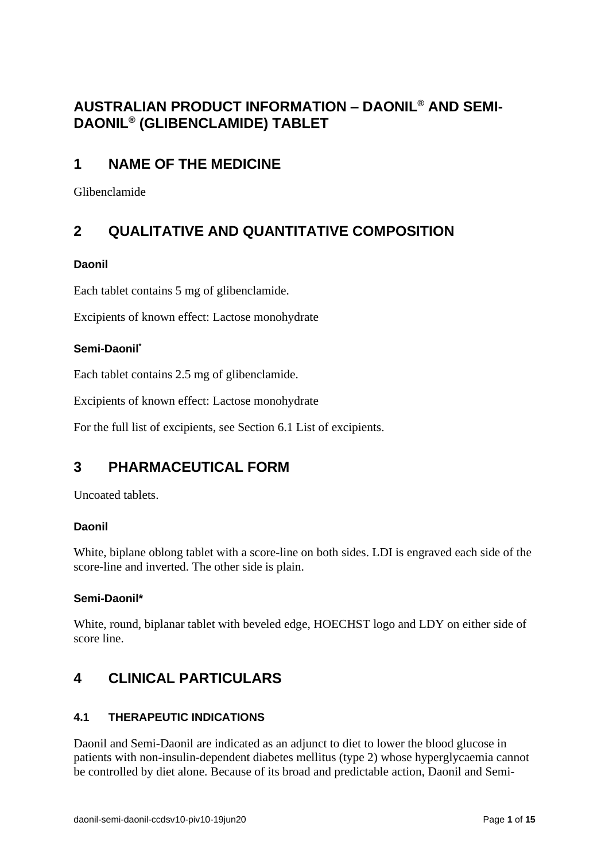## **AUSTRALIAN PRODUCT INFORMATION – DAONIL® AND SEMI-DAONIL® (GLIBENCLAMIDE) TABLET**

## **1 NAME OF THE MEDICINE**

Glibenclamide

# **2 QUALITATIVE AND QUANTITATIVE COMPOSITION**

## **Daonil**

Each tablet contains 5 mg of glibenclamide.

Excipients of known effect: Lactose monohydrate

## **Semi-Daonil\***

Each tablet contains 2.5 mg of glibenclamide.

Excipients of known effect: Lactose monohydrate

For the full list of excipients, see Section [6.1](#page-11-0) [List of excipients.](#page-11-0)

## **3 PHARMACEUTICAL FORM**

Uncoated tablets.

## **Daonil**

White, biplane oblong tablet with a score-line on both sides. LDI is engraved each side of the score-line and inverted. The other side is plain.

## **Semi-Daonil\***

White, round, biplanar tablet with beveled edge, HOECHST logo and LDY on either side of score line.

## **4 CLINICAL PARTICULARS**

## **4.1 THERAPEUTIC INDICATIONS**

Daonil and Semi-Daonil are indicated as an adjunct to diet to lower the blood glucose in patients with non-insulin-dependent diabetes mellitus (type 2) whose hyperglycaemia cannot be controlled by diet alone. Because of its broad and predictable action, Daonil and Semi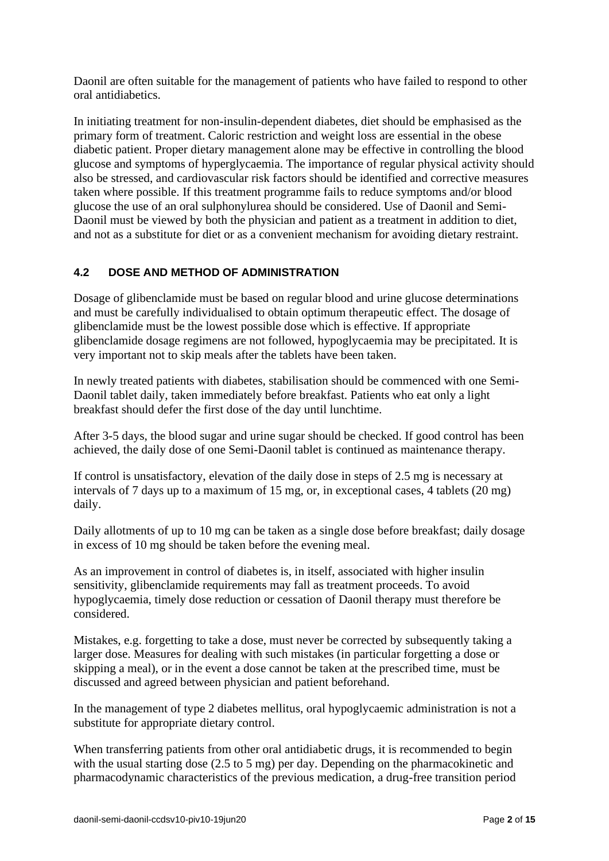Daonil are often suitable for the management of patients who have failed to respond to other oral antidiabetics.

In initiating treatment for non-insulin-dependent diabetes, diet should be emphasised as the primary form of treatment. Caloric restriction and weight loss are essential in the obese diabetic patient. Proper dietary management alone may be effective in controlling the blood glucose and symptoms of hyperglycaemia. The importance of regular physical activity should also be stressed, and cardiovascular risk factors should be identified and corrective measures taken where possible. If this treatment programme fails to reduce symptoms and/or blood glucose the use of an oral sulphonylurea should be considered. Use of Daonil and Semi-Daonil must be viewed by both the physician and patient as a treatment in addition to diet, and not as a substitute for diet or as a convenient mechanism for avoiding dietary restraint.

## **4.2 DOSE AND METHOD OF ADMINISTRATION**

Dosage of glibenclamide must be based on regular blood and urine glucose determinations and must be carefully individualised to obtain optimum therapeutic effect. The dosage of glibenclamide must be the lowest possible dose which is effective. If appropriate glibenclamide dosage regimens are not followed, hypoglycaemia may be precipitated. It is very important not to skip meals after the tablets have been taken.

In newly treated patients with diabetes, stabilisation should be commenced with one Semi-Daonil tablet daily, taken immediately before breakfast. Patients who eat only a light breakfast should defer the first dose of the day until lunchtime.

After 3-5 days, the blood sugar and urine sugar should be checked. If good control has been achieved, the daily dose of one Semi-Daonil tablet is continued as maintenance therapy.

If control is unsatisfactory, elevation of the daily dose in steps of 2.5 mg is necessary at intervals of 7 days up to a maximum of 15 mg, or, in exceptional cases, 4 tablets (20 mg) daily.

Daily allotments of up to 10 mg can be taken as a single dose before breakfast; daily dosage in excess of 10 mg should be taken before the evening meal.

As an improvement in control of diabetes is, in itself, associated with higher insulin sensitivity, glibenclamide requirements may fall as treatment proceeds. To avoid hypoglycaemia, timely dose reduction or cessation of Daonil therapy must therefore be considered.

Mistakes, e.g. forgetting to take a dose, must never be corrected by subsequently taking a larger dose. Measures for dealing with such mistakes (in particular forgetting a dose or skipping a meal), or in the event a dose cannot be taken at the prescribed time, must be discussed and agreed between physician and patient beforehand.

In the management of type 2 diabetes mellitus, oral hypoglycaemic administration is not a substitute for appropriate dietary control.

When transferring patients from other oral antidiabetic drugs, it is recommended to begin with the usual starting dose (2.5 to 5 mg) per day. Depending on the pharmacokinetic and pharmacodynamic characteristics of the previous medication, a drug-free transition period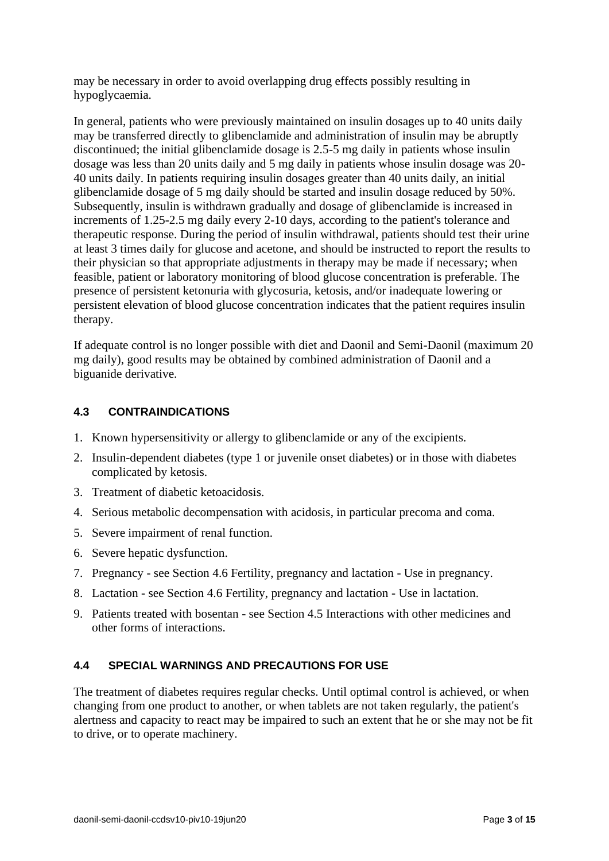may be necessary in order to avoid overlapping drug effects possibly resulting in hypoglycaemia.

In general, patients who were previously maintained on insulin dosages up to 40 units daily may be transferred directly to glibenclamide and administration of insulin may be abruptly discontinued; the initial glibenclamide dosage is 2.5-5 mg daily in patients whose insulin dosage was less than 20 units daily and 5 mg daily in patients whose insulin dosage was 20- 40 units daily. In patients requiring insulin dosages greater than 40 units daily, an initial glibenclamide dosage of 5 mg daily should be started and insulin dosage reduced by 50%. Subsequently, insulin is withdrawn gradually and dosage of glibenclamide is increased in increments of 1.25-2.5 mg daily every 2-10 days, according to the patient's tolerance and therapeutic response. During the period of insulin withdrawal, patients should test their urine at least 3 times daily for glucose and acetone, and should be instructed to report the results to their physician so that appropriate adjustments in therapy may be made if necessary; when feasible, patient or laboratory monitoring of blood glucose concentration is preferable. The presence of persistent ketonuria with glycosuria, ketosis, and/or inadequate lowering or persistent elevation of blood glucose concentration indicates that the patient requires insulin therapy.

If adequate control is no longer possible with diet and Daonil and Semi-Daonil (maximum 20 mg daily), good results may be obtained by combined administration of Daonil and a biguanide derivative.

## <span id="page-2-0"></span>**4.3 CONTRAINDICATIONS**

- 1. Known hypersensitivity or allergy to glibenclamide or any of the excipients.
- 2. Insulin-dependent diabetes (type 1 or juvenile onset diabetes) or in those with diabetes complicated by ketosis.
- 3. Treatment of diabetic ketoacidosis.
- 4. Serious metabolic decompensation with acidosis, in particular precoma and coma.
- 5. Severe impairment of renal function.
- 6. Severe hepatic dysfunction.
- 7. Pregnancy see Section [4.6](#page-6-0) [Fertility, pregnancy and lactation](#page-6-0) [Use in pregnancy.](#page-6-1)
- 8. Lactation see Section [4.6](#page-6-0) [Fertility, pregnancy and lactation](#page-6-0) [Use in lactation.](#page-7-0)
- 9. Patients treated with bosentan see Section [4.5](#page-5-0) Interactions [with other medicines and](#page-5-0)  [other forms of interactions.](#page-5-0)

#### <span id="page-2-1"></span>**4.4 SPECIAL WARNINGS AND PRECAUTIONS FOR USE**

The treatment of diabetes requires regular checks. Until optimal control is achieved, or when changing from one product to another, or when tablets are not taken regularly, the patient's alertness and capacity to react may be impaired to such an extent that he or she may not be fit to drive, or to operate machinery.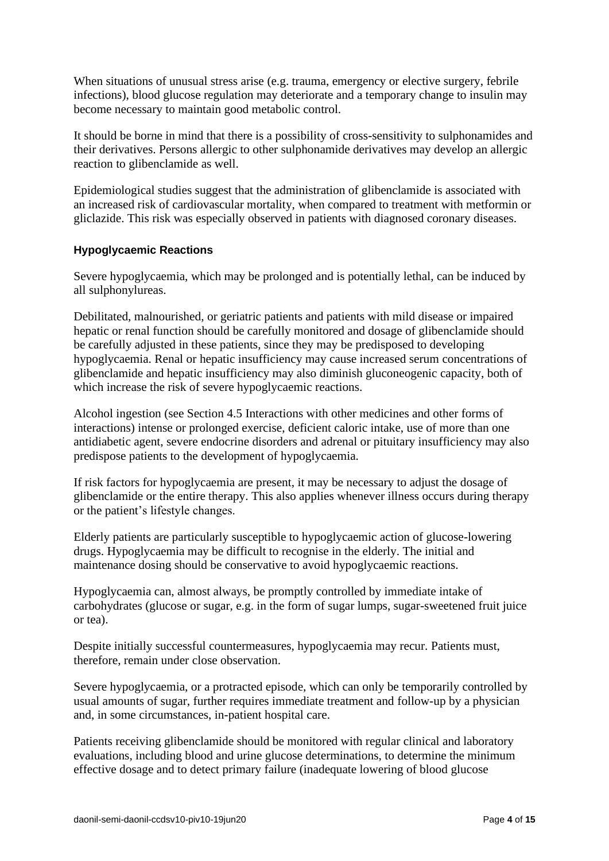When situations of unusual stress arise (e.g. trauma, emergency or elective surgery, febrile infections), blood glucose regulation may deteriorate and a temporary change to insulin may become necessary to maintain good metabolic control.

It should be borne in mind that there is a possibility of cross-sensitivity to sulphonamides and their derivatives. Persons allergic to other sulphonamide derivatives may develop an allergic reaction to glibenclamide as well.

Epidemiological studies suggest that the administration of glibenclamide is associated with an increased risk of cardiovascular mortality, when compared to treatment with metformin or gliclazide. This risk was especially observed in patients with diagnosed coronary diseases.

#### <span id="page-3-0"></span>**Hypoglycaemic Reactions**

Severe hypoglycaemia, which may be prolonged and is potentially lethal, can be induced by all sulphonylureas.

Debilitated, malnourished, or geriatric patients and patients with mild disease or impaired hepatic or renal function should be carefully monitored and dosage of glibenclamide should be carefully adjusted in these patients, since they may be predisposed to developing hypoglycaemia. Renal or hepatic insufficiency may cause increased serum concentrations of glibenclamide and hepatic insufficiency may also diminish gluconeogenic capacity, both of which increase the risk of severe hypoglycaemic reactions.

Alcohol ingestion (see Section [4.5](#page-5-0) Interactions [with other medicines and other forms of](#page-5-0)  [interactions\)](#page-5-0) intense or prolonged exercise, deficient caloric intake, use of more than one antidiabetic agent, severe endocrine disorders and adrenal or pituitary insufficiency may also predispose patients to the development of hypoglycaemia.

If risk factors for hypoglycaemia are present, it may be necessary to adjust the dosage of glibenclamide or the entire therapy. This also applies whenever illness occurs during therapy or the patient's lifestyle changes.

Elderly patients are particularly susceptible to hypoglycaemic action of glucose-lowering drugs. Hypoglycaemia may be difficult to recognise in the elderly. The initial and maintenance dosing should be conservative to avoid hypoglycaemic reactions.

Hypoglycaemia can, almost always, be promptly controlled by immediate intake of carbohydrates (glucose or sugar, e.g. in the form of sugar lumps, sugar-sweetened fruit juice or tea).

Despite initially successful countermeasures, hypoglycaemia may recur. Patients must, therefore, remain under close observation.

Severe hypoglycaemia, or a protracted episode, which can only be temporarily controlled by usual amounts of sugar, further requires immediate treatment and follow-up by a physician and, in some circumstances, in-patient hospital care.

Patients receiving glibenclamide should be monitored with regular clinical and laboratory evaluations, including blood and urine glucose determinations, to determine the minimum effective dosage and to detect primary failure (inadequate lowering of blood glucose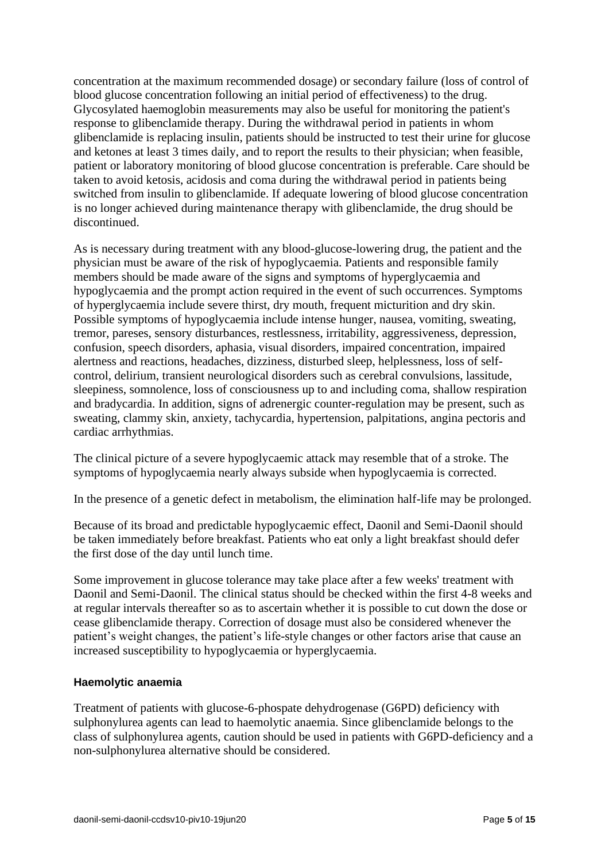concentration at the maximum recommended dosage) or secondary failure (loss of control of blood glucose concentration following an initial period of effectiveness) to the drug. Glycosylated haemoglobin measurements may also be useful for monitoring the patient's response to glibenclamide therapy. During the withdrawal period in patients in whom glibenclamide is replacing insulin, patients should be instructed to test their urine for glucose and ketones at least 3 times daily, and to report the results to their physician; when feasible, patient or laboratory monitoring of blood glucose concentration is preferable. Care should be taken to avoid ketosis, acidosis and coma during the withdrawal period in patients being switched from insulin to glibenclamide. If adequate lowering of blood glucose concentration is no longer achieved during maintenance therapy with glibenclamide, the drug should be discontinued.

As is necessary during treatment with any blood-glucose-lowering drug, the patient and the physician must be aware of the risk of hypoglycaemia. Patients and responsible family members should be made aware of the signs and symptoms of hyperglycaemia and hypoglycaemia and the prompt action required in the event of such occurrences. Symptoms of hyperglycaemia include severe thirst, dry mouth, frequent micturition and dry skin. Possible symptoms of hypoglycaemia include intense hunger, nausea, vomiting, sweating, tremor, pareses, sensory disturbances, restlessness, irritability, aggressiveness, depression, confusion, speech disorders, aphasia, visual disorders, impaired concentration, impaired alertness and reactions, headaches, dizziness, disturbed sleep, helplessness, loss of selfcontrol, delirium, transient neurological disorders such as cerebral convulsions, lassitude, sleepiness, somnolence, loss of consciousness up to and including coma, shallow respiration and bradycardia. In addition, signs of adrenergic counter-regulation may be present, such as sweating, clammy skin, anxiety, tachycardia, hypertension, palpitations, angina pectoris and cardiac arrhythmias.

The clinical picture of a severe hypoglycaemic attack may resemble that of a stroke. The symptoms of hypoglycaemia nearly always subside when hypoglycaemia is corrected.

In the presence of a genetic defect in metabolism, the elimination half-life may be prolonged.

Because of its broad and predictable hypoglycaemic effect, Daonil and Semi-Daonil should be taken immediately before breakfast. Patients who eat only a light breakfast should defer the first dose of the day until lunch time.

Some improvement in glucose tolerance may take place after a few weeks' treatment with Daonil and Semi-Daonil. The clinical status should be checked within the first 4-8 weeks and at regular intervals thereafter so as to ascertain whether it is possible to cut down the dose or cease glibenclamide therapy. Correction of dosage must also be considered whenever the patient's weight changes, the patient's life-style changes or other factors arise that cause an increased susceptibility to hypoglycaemia or hyperglycaemia.

#### **Haemolytic anaemia**

Treatment of patients with glucose-6-phospate dehydrogenase (G6PD) deficiency with sulphonylurea agents can lead to haemolytic anaemia. Since glibenclamide belongs to the class of sulphonylurea agents, caution should be used in patients with G6PD-deficiency and a non-sulphonylurea alternative should be considered.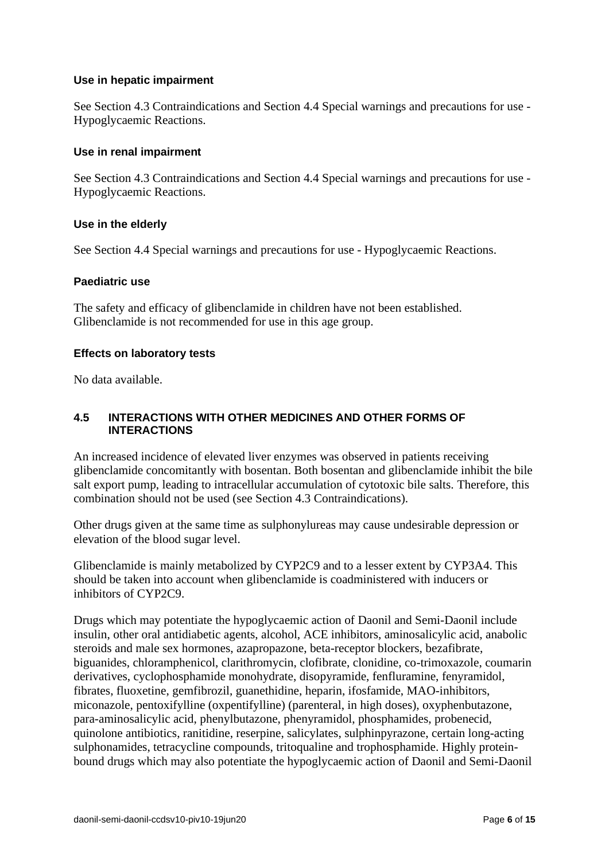#### **Use in hepatic impairment**

See Section [4.3](#page-2-0) [Contraindications](#page-2-0) and Section [4.4](#page-2-1) [Special warnings and precautions for use](#page-2-1) - [Hypoglycaemic Reactions.](#page-3-0)

#### **Use in renal impairment**

See Section [4.3](#page-2-0) [Contraindications](#page-2-0) and Section [4.4](#page-2-1) [Special warnings and precautions for use](#page-2-1) - [Hypoglycaemic Reactions.](#page-3-0)

#### **Use in the elderly**

See Section [4.4](#page-2-1) [Special warnings and precautions for use](#page-2-1) - [Hypoglycaemic Reactions.](#page-3-0)

#### **Paediatric use**

The safety and efficacy of glibenclamide in children have not been established. Glibenclamide is not recommended for use in this age group.

#### **Effects on laboratory tests**

<span id="page-5-0"></span>No data available.

#### **4.5 INTERACTIONS WITH OTHER MEDICINES AND OTHER FORMS OF INTERACTIONS**

An increased incidence of elevated liver enzymes was observed in patients receiving glibenclamide concomitantly with bosentan. Both bosentan and glibenclamide inhibit the bile salt export pump, leading to intracellular accumulation of cytotoxic bile salts. Therefore, this combination should not be used (see Section [4.3](#page-2-0) [Contraindications\)](#page-2-0).

Other drugs given at the same time as sulphonylureas may cause undesirable depression or elevation of the blood sugar level.

Glibenclamide is mainly metabolized by CYP2C9 and to a lesser extent by CYP3A4. This should be taken into account when glibenclamide is coadministered with inducers or inhibitors of CYP2C9.

Drugs which may potentiate the hypoglycaemic action of Daonil and Semi-Daonil include insulin, other oral antidiabetic agents, alcohol, ACE inhibitors, aminosalicylic acid, anabolic steroids and male sex hormones, azapropazone, beta-receptor blockers, bezafibrate, biguanides, chloramphenicol, clarithromycin, clofibrate, clonidine, co-trimoxazole, coumarin derivatives, cyclophosphamide monohydrate, disopyramide, fenfluramine, fenyramidol, fibrates, fluoxetine, gemfibrozil, guanethidine, heparin, ifosfamide, MAO-inhibitors, miconazole, pentoxifylline (oxpentifylline) (parenteral, in high doses), oxyphenbutazone, para-aminosalicylic acid, phenylbutazone, phenyramidol, phosphamides, probenecid, quinolone antibiotics, ranitidine, reserpine, salicylates, sulphinpyrazone, certain long-acting sulphonamides, tetracycline compounds, tritoqualine and trophosphamide. Highly proteinbound drugs which may also potentiate the hypoglycaemic action of Daonil and Semi-Daonil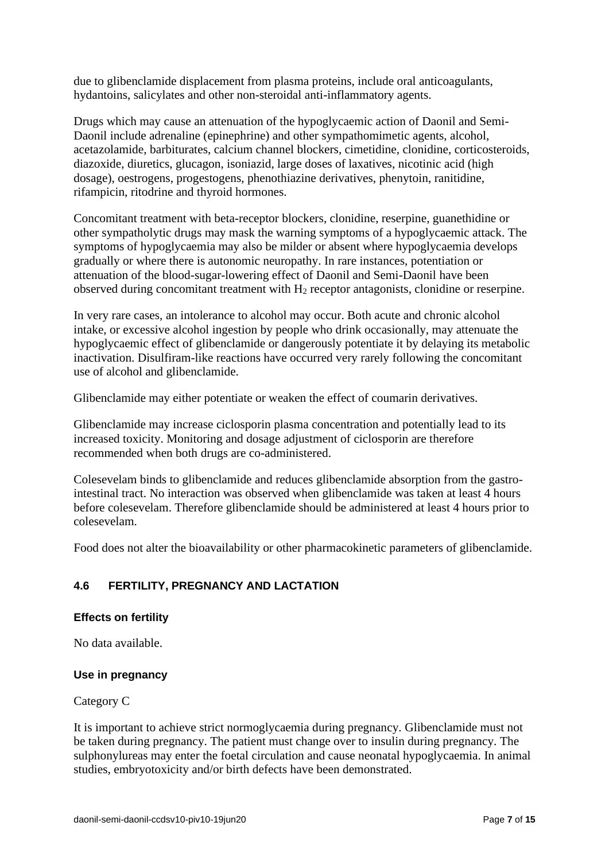due to glibenclamide displacement from plasma proteins, include oral anticoagulants, hydantoins, salicylates and other non-steroidal anti-inflammatory agents.

Drugs which may cause an attenuation of the hypoglycaemic action of Daonil and Semi-Daonil include adrenaline (epinephrine) and other sympathomimetic agents, alcohol, acetazolamide, barbiturates, calcium channel blockers, cimetidine, clonidine, corticosteroids, diazoxide, diuretics, glucagon, isoniazid, large doses of laxatives, nicotinic acid (high dosage), oestrogens, progestogens, phenothiazine derivatives, phenytoin, ranitidine, rifampicin, ritodrine and thyroid hormones.

Concomitant treatment with beta-receptor blockers, clonidine, reserpine, guanethidine or other sympatholytic drugs may mask the warning symptoms of a hypoglycaemic attack. The symptoms of hypoglycaemia may also be milder or absent where hypoglycaemia develops gradually or where there is autonomic neuropathy. In rare instances, potentiation or attenuation of the blood-sugar-lowering effect of Daonil and Semi-Daonil have been observed during concomitant treatment with  $H_2$  receptor antagonists, clonidine or reserpine.

In very rare cases, an intolerance to alcohol may occur. Both acute and chronic alcohol intake, or excessive alcohol ingestion by people who drink occasionally, may attenuate the hypoglycaemic effect of glibenclamide or dangerously potentiate it by delaying its metabolic inactivation. Disulfiram-like reactions have occurred very rarely following the concomitant use of alcohol and glibenclamide.

Glibenclamide may either potentiate or weaken the effect of coumarin derivatives.

Glibenclamide may increase ciclosporin plasma concentration and potentially lead to its increased toxicity. Monitoring and dosage adjustment of ciclosporin are therefore recommended when both drugs are co-administered.

Colesevelam binds to glibenclamide and reduces glibenclamide absorption from the gastrointestinal tract. No interaction was observed when glibenclamide was taken at least 4 hours before colesevelam. Therefore glibenclamide should be administered at least 4 hours prior to colesevelam.

<span id="page-6-0"></span>Food does not alter the bioavailability or other pharmacokinetic parameters of glibenclamide.

## **4.6 FERTILITY, PREGNANCY AND LACTATION**

#### **Effects on fertility**

<span id="page-6-1"></span>No data available.

#### **Use in pregnancy**

Category C

It is important to achieve strict normoglycaemia during pregnancy. Glibenclamide must not be taken during pregnancy. The patient must change over to insulin during pregnancy. The sulphonylureas may enter the foetal circulation and cause neonatal hypoglycaemia. In animal studies, embryotoxicity and/or birth defects have been demonstrated.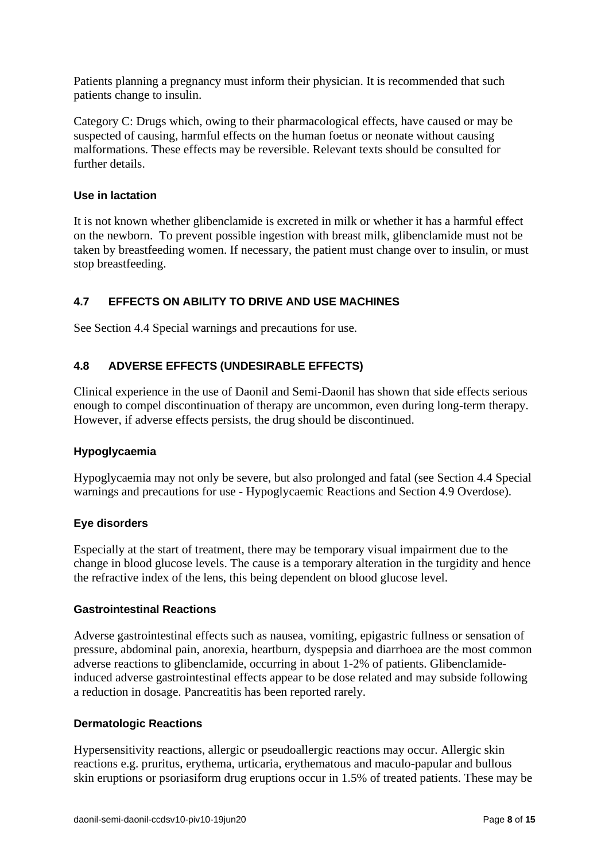Patients planning a pregnancy must inform their physician. It is recommended that such patients change to insulin.

Category C: Drugs which, owing to their pharmacological effects, have caused or may be suspected of causing, harmful effects on the human foetus or neonate without causing malformations. These effects may be reversible. Relevant texts should be consulted for further details.

#### <span id="page-7-0"></span>**Use in lactation**

It is not known whether glibenclamide is excreted in milk or whether it has a harmful effect on the newborn. To prevent possible ingestion with breast milk, glibenclamide must not be taken by breastfeeding women. If necessary, the patient must change over to insulin, or must stop breastfeeding.

## **4.7 EFFECTS ON ABILITY TO DRIVE AND USE MACHINES**

See Section [4.4](#page-2-1) [Special warnings and precautions for use.](#page-2-1)

## **4.8 ADVERSE EFFECTS (UNDESIRABLE EFFECTS)**

Clinical experience in the use of Daonil and Semi-Daonil has shown that side effects serious enough to compel discontinuation of therapy are uncommon, even during long-term therapy. However, if adverse effects persists, the drug should be discontinued.

#### **Hypoglycaemia**

Hypoglycaemia may not only be severe, but also prolonged and fatal (see Section [4.4](#page-2-1) [Special](#page-2-1)  [warnings and precautions for use](#page-2-1) - [Hypoglycaemic Reactions](#page-3-0) and Section [4.9](#page-9-0) [Overdose\)](#page-9-0).

#### **Eye disorders**

Especially at the start of treatment, there may be temporary visual impairment due to the change in blood glucose levels. The cause is a temporary alteration in the turgidity and hence the refractive index of the lens, this being dependent on blood glucose level.

#### **Gastrointestinal Reactions**

Adverse gastrointestinal effects such as nausea, vomiting, epigastric fullness or sensation of pressure, abdominal pain, anorexia, heartburn, dyspepsia and diarrhoea are the most common adverse reactions to glibenclamide, occurring in about 1-2% of patients. Glibenclamideinduced adverse gastrointestinal effects appear to be dose related and may subside following a reduction in dosage. Pancreatitis has been reported rarely.

#### **Dermatologic Reactions**

Hypersensitivity reactions, allergic or pseudoallergic reactions may occur. Allergic skin reactions e.g. pruritus, erythema, urticaria, erythematous and maculo-papular and bullous skin eruptions or psoriasiform drug eruptions occur in 1.5% of treated patients. These may be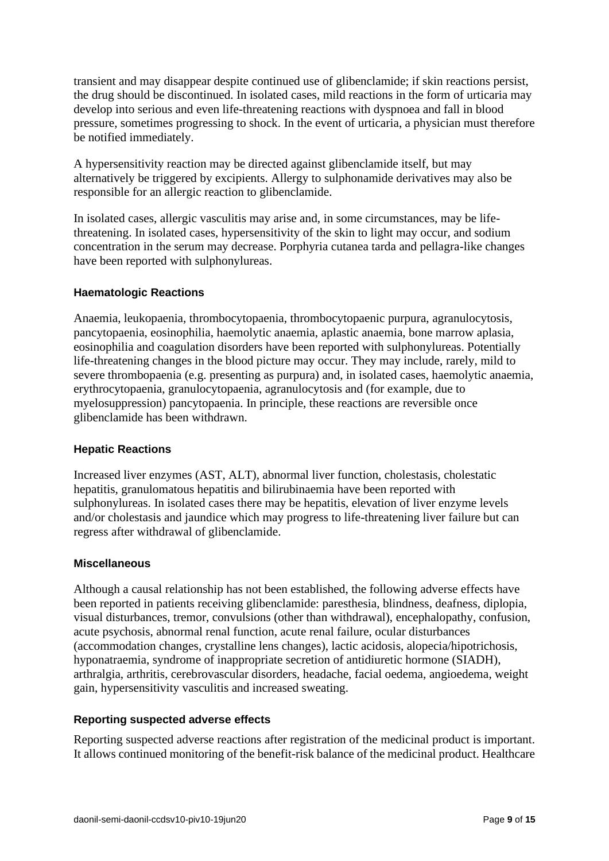transient and may disappear despite continued use of glibenclamide; if skin reactions persist, the drug should be discontinued. In isolated cases, mild reactions in the form of urticaria may develop into serious and even life-threatening reactions with dyspnoea and fall in blood pressure, sometimes progressing to shock. In the event of urticaria, a physician must therefore be notified immediately.

A hypersensitivity reaction may be directed against glibenclamide itself, but may alternatively be triggered by excipients. Allergy to sulphonamide derivatives may also be responsible for an allergic reaction to glibenclamide.

In isolated cases, allergic vasculitis may arise and, in some circumstances, may be lifethreatening. In isolated cases, hypersensitivity of the skin to light may occur, and sodium concentration in the serum may decrease. Porphyria cutanea tarda and pellagra-like changes have been reported with sulphonylureas.

## **Haematologic Reactions**

Anaemia, leukopaenia, thrombocytopaenia, thrombocytopaenic purpura, agranulocytosis, pancytopaenia, eosinophilia, haemolytic anaemia, aplastic anaemia, bone marrow aplasia, eosinophilia and coagulation disorders have been reported with sulphonylureas. Potentially life-threatening changes in the blood picture may occur. They may include, rarely, mild to severe thrombopaenia (e.g. presenting as purpura) and, in isolated cases, haemolytic anaemia, erythrocytopaenia, granulocytopaenia, agranulocytosis and (for example, due to myelosuppression) pancytopaenia. In principle, these reactions are reversible once glibenclamide has been withdrawn.

#### **Hepatic Reactions**

Increased liver enzymes (AST, ALT), abnormal liver function, cholestasis, cholestatic hepatitis, granulomatous hepatitis and bilirubinaemia have been reported with sulphonylureas. In isolated cases there may be hepatitis, elevation of liver enzyme levels and/or cholestasis and jaundice which may progress to life-threatening liver failure but can regress after withdrawal of glibenclamide.

#### **Miscellaneous**

Although a causal relationship has not been established, the following adverse effects have been reported in patients receiving glibenclamide: paresthesia, blindness, deafness, diplopia, visual disturbances, tremor, convulsions (other than withdrawal), encephalopathy, confusion, acute psychosis, abnormal renal function, acute renal failure, ocular disturbances (accommodation changes, crystalline lens changes), lactic acidosis, alopecia/hipotrichosis, hyponatraemia, syndrome of inappropriate secretion of antidiuretic hormone (SIADH), arthralgia, arthritis, cerebrovascular disorders, headache, facial oedema, angioedema, weight gain, hypersensitivity vasculitis and increased sweating.

## **Reporting suspected adverse effects**

Reporting suspected adverse reactions after registration of the medicinal product is important. It allows continued monitoring of the benefit-risk balance of the medicinal product. Healthcare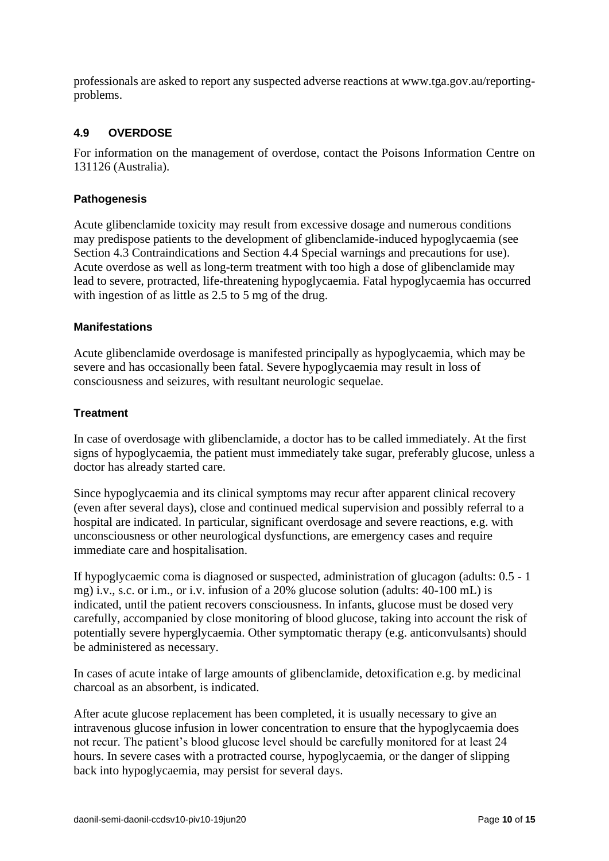professionals are asked to report any suspected adverse reactions at [www.tga.gov.au/reporting](http://www.tga.gov.au/reporting-problems)[problems.](http://www.tga.gov.au/reporting-problems)

## <span id="page-9-0"></span>**4.9 OVERDOSE**

For information on the management of overdose, contact the Poisons Information Centre on 131126 (Australia).

### **Pathogenesis**

Acute glibenclamide toxicity may result from excessive dosage and numerous conditions may predispose patients to the development of glibenclamide-induced hypoglycaemia (see Section [4.3](#page-2-0) [Contraindications](#page-2-0) and Section [4.4](#page-2-1) [Special warnings and precautions for use\)](#page-2-1). Acute overdose as well as long-term treatment with too high a dose of glibenclamide may lead to severe, protracted, life-threatening hypoglycaemia. Fatal hypoglycaemia has occurred with ingestion of as little as 2.5 to 5 mg of the drug.

#### **Manifestations**

Acute glibenclamide overdosage is manifested principally as hypoglycaemia, which may be severe and has occasionally been fatal. Severe hypoglycaemia may result in loss of consciousness and seizures, with resultant neurologic sequelae.

#### **Treatment**

In case of overdosage with glibenclamide, a doctor has to be called immediately. At the first signs of hypoglycaemia, the patient must immediately take sugar, preferably glucose, unless a doctor has already started care.

Since hypoglycaemia and its clinical symptoms may recur after apparent clinical recovery (even after several days), close and continued medical supervision and possibly referral to a hospital are indicated. In particular, significant overdosage and severe reactions, e.g. with unconsciousness or other neurological dysfunctions, are emergency cases and require immediate care and hospitalisation.

If hypoglycaemic coma is diagnosed or suspected, administration of glucagon (adults: 0.5 - 1 mg) i.v., s.c. or i.m., or i.v. infusion of a 20% glucose solution (adults: 40-100 mL) is indicated, until the patient recovers consciousness. In infants, glucose must be dosed very carefully, accompanied by close monitoring of blood glucose, taking into account the risk of potentially severe hyperglycaemia. Other symptomatic therapy (e.g. anticonvulsants) should be administered as necessary.

In cases of acute intake of large amounts of glibenclamide, detoxification e.g. by medicinal charcoal as an absorbent, is indicated.

After acute glucose replacement has been completed, it is usually necessary to give an intravenous glucose infusion in lower concentration to ensure that the hypoglycaemia does not recur. The patient's blood glucose level should be carefully monitored for at least 24 hours. In severe cases with a protracted course, hypoglycaemia, or the danger of slipping back into hypoglycaemia, may persist for several days.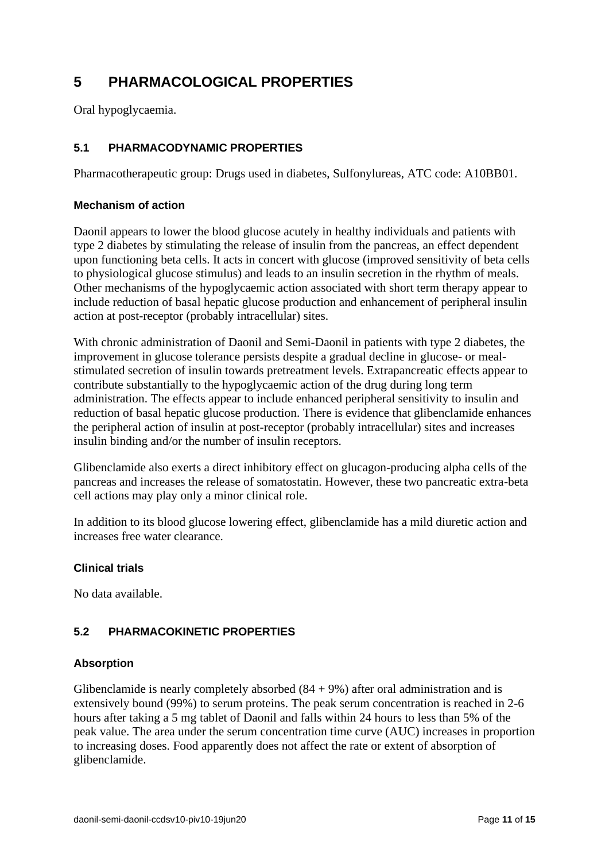# **5 PHARMACOLOGICAL PROPERTIES**

Oral hypoglycaemia.

## **5.1 PHARMACODYNAMIC PROPERTIES**

Pharmacotherapeutic group: Drugs used in diabetes, Sulfonylureas, ATC code: A10BB01.

### **Mechanism of action**

Daonil appears to lower the blood glucose acutely in healthy individuals and patients with type 2 diabetes by stimulating the release of insulin from the pancreas, an effect dependent upon functioning beta cells. It acts in concert with glucose (improved sensitivity of beta cells to physiological glucose stimulus) and leads to an insulin secretion in the rhythm of meals. Other mechanisms of the hypoglycaemic action associated with short term therapy appear to include reduction of basal hepatic glucose production and enhancement of peripheral insulin action at post-receptor (probably intracellular) sites.

With chronic administration of Daonil and Semi-Daonil in patients with type 2 diabetes, the improvement in glucose tolerance persists despite a gradual decline in glucose- or mealstimulated secretion of insulin towards pretreatment levels. Extrapancreatic effects appear to contribute substantially to the hypoglycaemic action of the drug during long term administration. The effects appear to include enhanced peripheral sensitivity to insulin and reduction of basal hepatic glucose production. There is evidence that glibenclamide enhances the peripheral action of insulin at post-receptor (probably intracellular) sites and increases insulin binding and/or the number of insulin receptors.

Glibenclamide also exerts a direct inhibitory effect on glucagon-producing alpha cells of the pancreas and increases the release of somatostatin. However, these two pancreatic extra-beta cell actions may play only a minor clinical role.

In addition to its blood glucose lowering effect, glibenclamide has a mild diuretic action and increases free water clearance.

#### **Clinical trials**

No data available.

## **5.2 PHARMACOKINETIC PROPERTIES**

#### **Absorption**

Glibenclamide is nearly completely absorbed  $(84 + 9%)$  after oral administration and is extensively bound (99%) to serum proteins. The peak serum concentration is reached in 2-6 hours after taking a 5 mg tablet of Daonil and falls within 24 hours to less than 5% of the peak value. The area under the serum concentration time curve (AUC) increases in proportion to increasing doses. Food apparently does not affect the rate or extent of absorption of glibenclamide.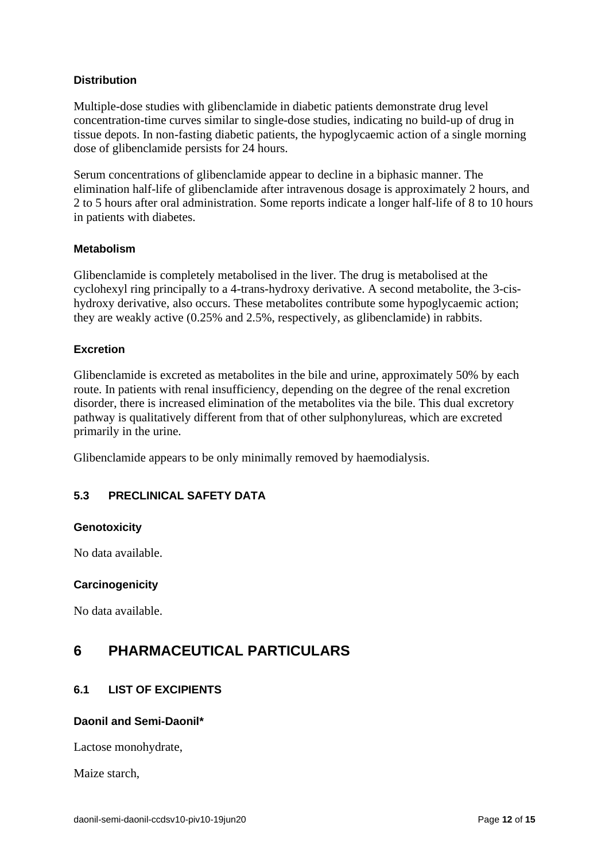## **Distribution**

Multiple-dose studies with glibenclamide in diabetic patients demonstrate drug level concentration-time curves similar to single-dose studies, indicating no build-up of drug in tissue depots. In non-fasting diabetic patients, the hypoglycaemic action of a single morning dose of glibenclamide persists for 24 hours.

Serum concentrations of glibenclamide appear to decline in a biphasic manner. The elimination half-life of glibenclamide after intravenous dosage is approximately 2 hours, and 2 to 5 hours after oral administration. Some reports indicate a longer half-life of 8 to 10 hours in patients with diabetes.

#### **Metabolism**

Glibenclamide is completely metabolised in the liver. The drug is metabolised at the cyclohexyl ring principally to a 4-trans-hydroxy derivative. A second metabolite, the 3-cishydroxy derivative, also occurs. These metabolites contribute some hypoglycaemic action; they are weakly active (0.25% and 2.5%, respectively, as glibenclamide) in rabbits.

#### **Excretion**

Glibenclamide is excreted as metabolites in the bile and urine, approximately 50% by each route. In patients with renal insufficiency, depending on the degree of the renal excretion disorder, there is increased elimination of the metabolites via the bile. This dual excretory pathway is qualitatively different from that of other sulphonylureas, which are excreted primarily in the urine.

Glibenclamide appears to be only minimally removed by haemodialysis.

## **5.3 PRECLINICAL SAFETY DATA**

#### **Genotoxicity**

No data available.

#### **Carcinogenicity**

No data available.

## <span id="page-11-0"></span>**6 PHARMACEUTICAL PARTICULARS**

## **6.1 LIST OF EXCIPIENTS**

#### **Daonil and Semi-Daonil\***

Lactose monohydrate,

Maize starch,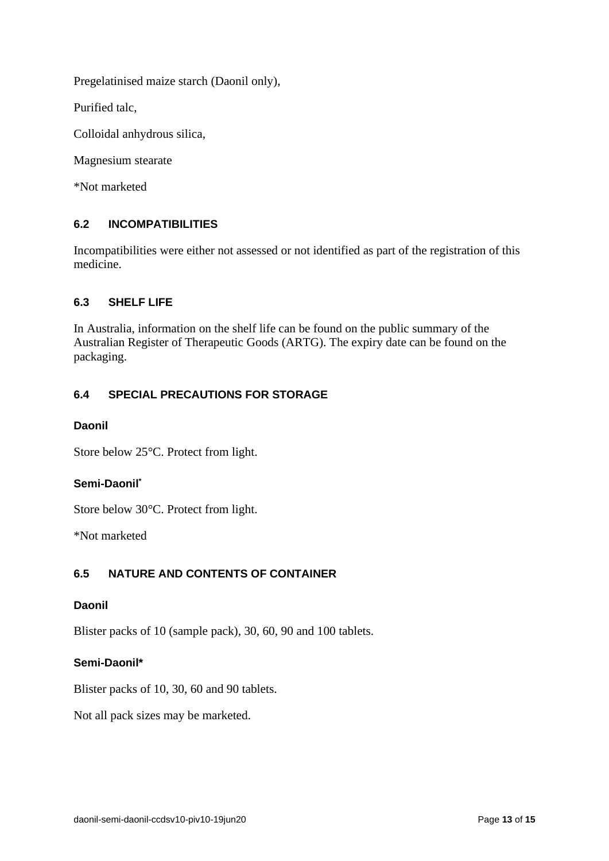Pregelatinised maize starch (Daonil only),

Purified talc,

Colloidal anhydrous silica,

Magnesium stearate

\*Not marketed

## **6.2 INCOMPATIBILITIES**

Incompatibilities were either not assessed or not identified as part of the registration of this medicine.

## **6.3 SHELF LIFE**

In Australia, information on the shelf life can be found on the public summary of the Australian Register of Therapeutic Goods (ARTG). The expiry date can be found on the packaging.

## **6.4 SPECIAL PRECAUTIONS FOR STORAGE**

#### **Daonil**

Store below 25°C. Protect from light.

#### **Semi-Daonil\***

Store below 30°C. Protect from light.

\*Not marketed

#### **6.5 NATURE AND CONTENTS OF CONTAINER**

#### **Daonil**

Blister packs of 10 (sample pack), 30, 60, 90 and 100 tablets.

#### **Semi-Daonil\***

Blister packs of 10, 30, 60 and 90 tablets.

Not all pack sizes may be marketed.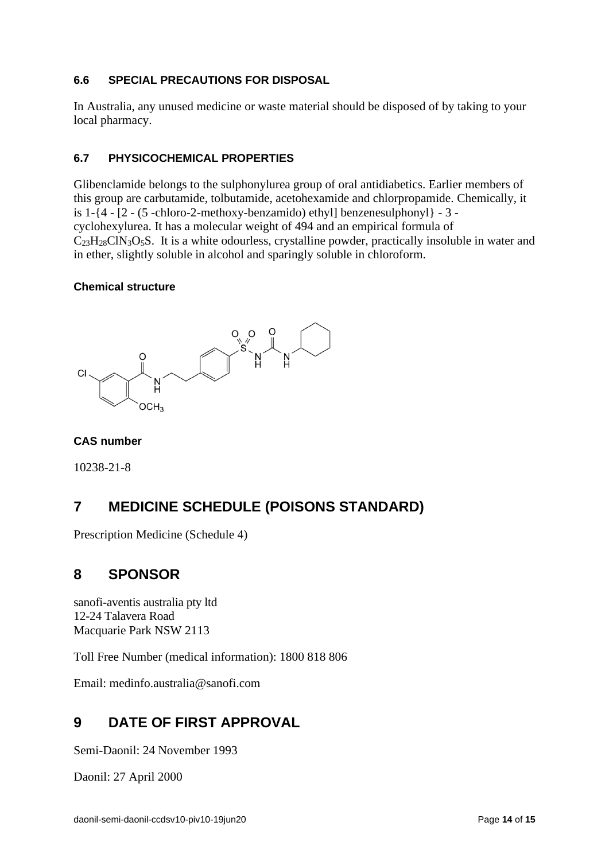## **6.6 SPECIAL PRECAUTIONS FOR DISPOSAL**

In Australia, any unused medicine or waste material should be disposed of by taking to your local pharmacy.

## **6.7 PHYSICOCHEMICAL PROPERTIES**

Glibenclamide belongs to the sulphonylurea group of oral antidiabetics. Earlier members of this group are carbutamide, tolbutamide, acetohexamide and chlorpropamide. Chemically, it is 1-{4 - [2 - (5 -chloro-2-methoxy-benzamido) ethyl] benzenesulphonyl} - 3 cyclohexylurea. It has a molecular weight of 494 and an empirical formula of  $C_{23}H_{28}CIN_3O_5S$ . It is a white odourless, crystalline powder, practically insoluble in water and in ether, slightly soluble in alcohol and sparingly soluble in chloroform.

#### **Chemical structure**



#### **CAS number**

10238-21-8

# **7 MEDICINE SCHEDULE (POISONS STANDARD)**

Prescription Medicine (Schedule 4)

## **8 SPONSOR**

sanofi-aventis australia pty ltd 12-24 Talavera Road Macquarie Park NSW 2113

Toll Free Number (medical information): 1800 818 806

Email: medinfo.australia@sanofi.com

## **9 DATE OF FIRST APPROVAL**

Semi-Daonil: 24 November 1993

Daonil: 27 April 2000